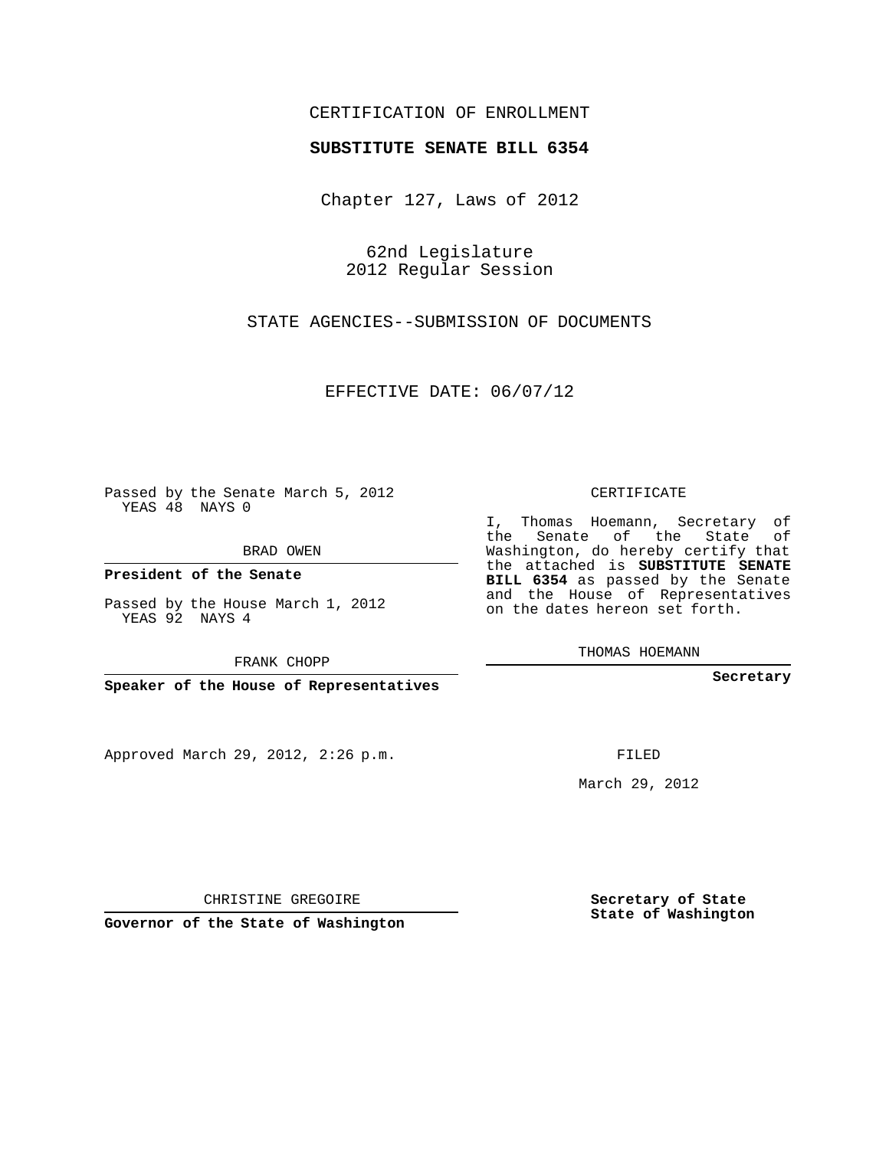## CERTIFICATION OF ENROLLMENT

## **SUBSTITUTE SENATE BILL 6354**

Chapter 127, Laws of 2012

62nd Legislature 2012 Regular Session

STATE AGENCIES--SUBMISSION OF DOCUMENTS

EFFECTIVE DATE: 06/07/12

**Contractor** 

Passed by the Senate March 5, 2012 YEAS 48 NAYS 0

BRAD OWEN

**President of the Senate**

Passed by the House March 1, 2012 YEAS 92 NAYS 4

FRANK CHOPP

**Speaker of the House of Representatives**

Approved March 29, 2012, 2:26 p.m.

CERTIFICATE

I, Thomas Hoemann, Secretary of the Senate of the State of Washington, do hereby certify that the attached is **SUBSTITUTE SENATE BILL 6354** as passed by the Senate and the House of Representatives on the dates hereon set forth.

THOMAS HOEMANN

**Secretary**

FILED

March 29, 2012

**Secretary of State State of Washington**

CHRISTINE GREGOIRE

**Governor of the State of Washington**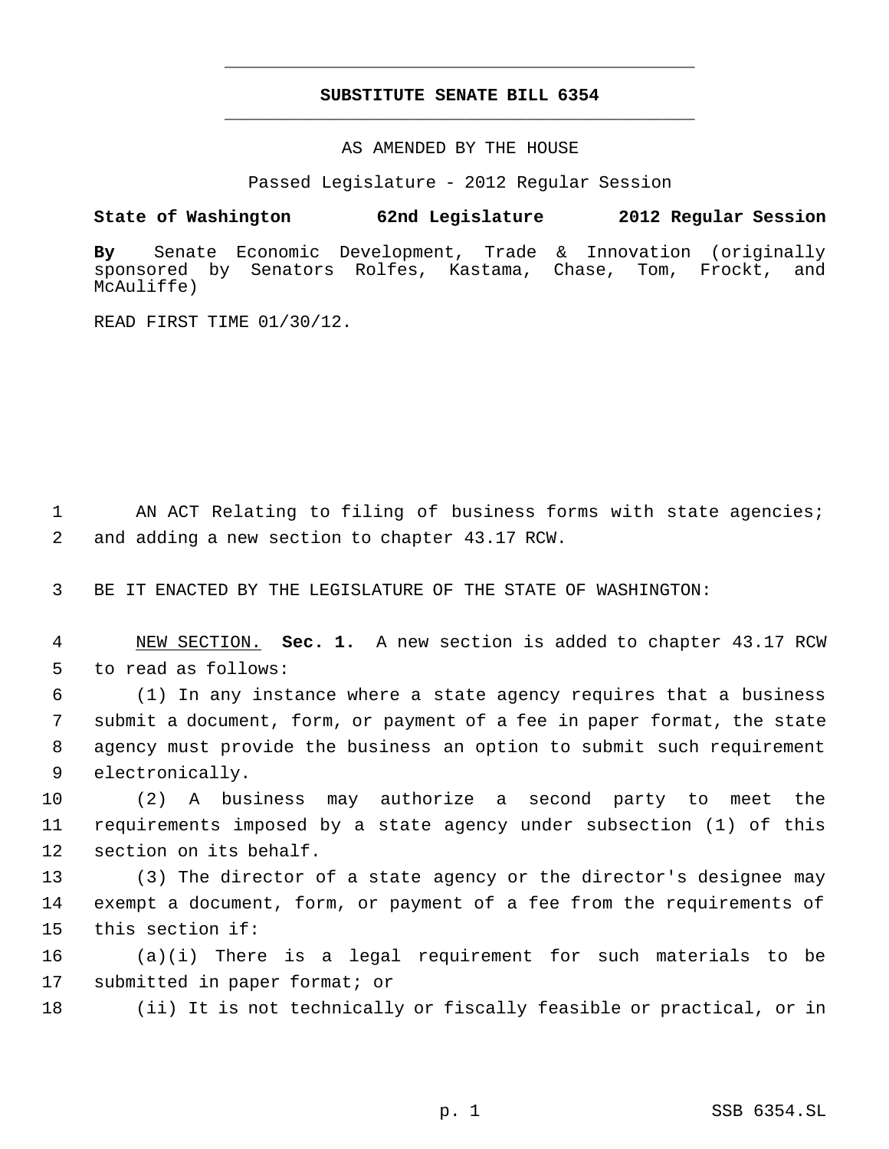## **SUBSTITUTE SENATE BILL 6354** \_\_\_\_\_\_\_\_\_\_\_\_\_\_\_\_\_\_\_\_\_\_\_\_\_\_\_\_\_\_\_\_\_\_\_\_\_\_\_\_\_\_\_\_\_

\_\_\_\_\_\_\_\_\_\_\_\_\_\_\_\_\_\_\_\_\_\_\_\_\_\_\_\_\_\_\_\_\_\_\_\_\_\_\_\_\_\_\_\_\_

AS AMENDED BY THE HOUSE

Passed Legislature - 2012 Regular Session

**State of Washington 62nd Legislature 2012 Regular Session**

**By** Senate Economic Development, Trade & Innovation (originally sponsored by Senators Rolfes, Kastama, Chase, Tom, Frockt, and McAuliffe)

READ FIRST TIME 01/30/12.

1 AN ACT Relating to filing of business forms with state agencies; 2 and adding a new section to chapter 43.17 RCW.

3 BE IT ENACTED BY THE LEGISLATURE OF THE STATE OF WASHINGTON:

 4 NEW SECTION. **Sec. 1.** A new section is added to chapter 43.17 RCW 5 to read as follows:

 (1) In any instance where a state agency requires that a business submit a document, form, or payment of a fee in paper format, the state agency must provide the business an option to submit such requirement electronically.

10 (2) A business may authorize a second party to meet the 11 requirements imposed by a state agency under subsection (1) of this 12 section on its behalf.

13 (3) The director of a state agency or the director's designee may 14 exempt a document, form, or payment of a fee from the requirements of 15 this section if:

16 (a)(i) There is a legal requirement for such materials to be 17 submitted in paper format; or

18 (ii) It is not technically or fiscally feasible or practical, or in